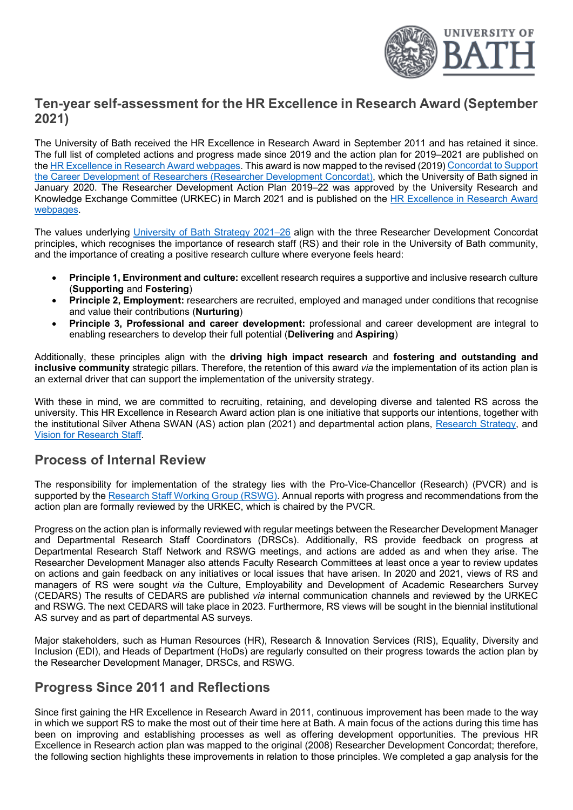

# **Ten-year self-assessment for the HR Excellence in Research Award (September 2021)**

The University of Bath received the HR Excellence in Research Award in September 2011 and has retained it since. The full list of completed actions and progress made since 2019 and the action plan for 2019–2021 are published on th[e HR Excellence in Research Award webpages.](https://www.bath.ac.uk/guides/hr-excellence-in-research-award/) This award is now mapped to the revised (2019) [Concordat to Support](https://www.vitae.ac.uk/policy/concordat)  [the Career Development of Researchers \(Researcher Development Concordat\)](https://www.vitae.ac.uk/policy/concordat), which the University of Bath signed in January 2020. The Researcher Development Action Plan 2019–22 was approved by the University Research and Knowledge Exchange Committee (URKEC) in March 2021 and is published on the [HR Excellence in Research Award](https://www.bath.ac.uk/guides/hr-excellence-in-research-award/)  [webpages.](https://www.bath.ac.uk/guides/hr-excellence-in-research-award/)

The values underlying [University of Bath Strategy 2021–26](https://www.bath.ac.uk/publications/the-university-of-bath-strategy-2021-to-2026/attachments/university-of-bath-strategy-2021-to-2026.pdf) align with the three Researcher Development Concordat principles, which recognises the importance of research staff (RS) and their role in the University of Bath community, and the importance of creating a positive research culture where everyone feels heard:

- **Principle 1, Environment and culture:** excellent research requires a supportive and inclusive research culture (**Supporting** and **Fostering**)
- **Principle 2. Employment:** researchers are recruited, employed and managed under conditions that recognise and value their contributions (**Nurturing**)
- **Principle 3, Professional and career development:** professional and career development are integral to enabling researchers to develop their full potential (**Delivering** and **Aspiring**)

Additionally, these principles align with the **driving high impact research** and **fostering and outstanding and inclusive community** strategic pillars. Therefore, the retention of this award *via* the implementation of its action plan is an external driver that can support the implementation of the university strategy.

With these in mind, we are committed to recruiting, retaining, and developing diverse and talented RS across the university. This HR Excellence in Research Award action plan is one initiative that supports our intentions, together with the institutional Silver Athena SWAN (AS) action plan (2021) and departmental action plans, [Research Strategy,](https://www.bath.ac.uk/corporate-information/research-strategy/) and [Vision for Research Staff.](https://www.bath.ac.uk/guides/vision-for-research-staff/)

# **Process of Internal Review**

The responsibility for implementation of the strategy lies with the Pro-Vice-Chancellor (Research) (PVCR) and is supported by th[e Research Staff Working Group \(RSWG\).](https://www.bath.ac.uk/teams/research-staff-working-group/) Annual reports with progress and recommendations from the action plan are formally reviewed by the URKEC, which is chaired by the PVCR.

Progress on the action plan is informally reviewed with regular meetings between the Researcher Development Manager and Departmental Research Staff Coordinators (DRSCs). Additionally, RS provide feedback on progress at Departmental Research Staff Network and RSWG meetings, and actions are added as and when they arise. The Researcher Development Manager also attends Faculty Research Committees at least once a year to review updates on actions and gain feedback on any initiatives or local issues that have arisen. In 2020 and 2021, views of RS and managers of RS were sought *via* the Culture, Employability and Development of Academic Researchers Survey (CEDARS) The results of CEDARS are published *via* internal communication channels and reviewed by the URKEC and RSWG. The next CEDARS will take place in 2023. Furthermore, RS views will be sought in the biennial institutional AS survey and as part of departmental AS surveys.

Major stakeholders, such as Human Resources (HR), Research & Innovation Services (RIS), Equality, Diversity and Inclusion (EDI), and Heads of Department (HoDs) are regularly consulted on their progress towards the action plan by the Researcher Development Manager, DRSCs, and RSWG.

# **Progress Since 2011 and Reflections**

Since first gaining the HR Excellence in Research Award in 2011, continuous improvement has been made to the way in which we support RS to make the most out of their time here at Bath. A main focus of the actions during this time has been on improving and establishing processes as well as offering development opportunities. The previous HR Excellence in Research action plan was mapped to the original (2008) Researcher Development Concordat; therefore, the following section highlights these improvements in relation to those principles. We completed a gap analysis for the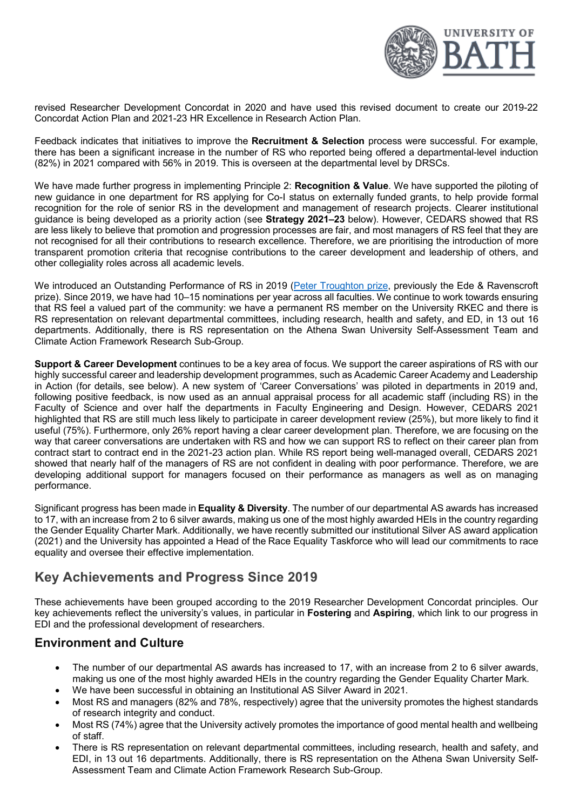

revised Researcher Development Concordat in 2020 and have used this revised document to create our 2019-22 Concordat Action Plan and 2021-23 HR Excellence in Research Action Plan.

Feedback indicates that initiatives to improve the **Recruitment & Selection** process were successful. For example, there has been a significant increase in the number of RS who reported being offered a departmental-level induction (82%) in 2021 compared with 56% in 2019. This is overseen at the departmental level by DRSCs.

We have made further progress in implementing Principle 2: **Recognition & Value**. We have supported the piloting of new guidance in one department for RS applying for Co-I status on externally funded grants, to help provide formal recognition for the role of senior RS in the development and management of research projects. Clearer institutional guidance is being developed as a priority action (see **Strategy 2021–23** below). However, CEDARS showed that RS are less likely to believe that promotion and progression processes are fair, and most managers of RS feel that they are not recognised for all their contributions to research excellence. Therefore, we are prioritising the introduction of more transparent promotion criteria that recognise contributions to the career development and leadership of others, and other collegiality roles across all academic levels.

We introduced an Outstanding Performance of RS in 2019 [\(Peter Troughton prize,](https://www.bath.ac.uk/campaigns/peter-troughton-research-staff-prize/) previously the Ede & Ravenscroft prize). Since 2019, we have had 10–15 nominations per year across all faculties. We continue to work towards ensuring that RS feel a valued part of the community: we have a permanent RS member on the University RKEC and there is RS representation on relevant departmental committees, including research, health and safety, and ED, in 13 out 16 departments. Additionally, there is RS representation on the Athena Swan University Self-Assessment Team and Climate Action Framework Research Sub-Group.

**Support & Career Development** continues to be a key area of focus. We support the career aspirations of RS with our highly successful career and leadership development programmes, such as Academic Career Academy and Leadership in Action (for details, see below). A new system of 'Career Conversations' was piloted in departments in 2019 and, following positive feedback, is now used as an annual appraisal process for all academic staff (including RS) in the Faculty of Science and over half the departments in Faculty Engineering and Design. However, CEDARS 2021 highlighted that RS are still much less likely to participate in career development review (25%), but more likely to find it useful (75%). Furthermore, only 26% report having a clear career development plan. Therefore, we are focusing on the way that career conversations are undertaken with RS and how we can support RS to reflect on their career plan from contract start to contract end in the 2021-23 action plan. While RS report being well-managed overall, CEDARS 2021 showed that nearly half of the managers of RS are not confident in dealing with poor performance. Therefore, we are developing additional support for managers focused on their performance as managers as well as on managing performance.

Significant progress has been made in **Equality & Diversity**. The number of our departmental AS awards has increased to 17, with an increase from 2 to 6 silver awards, making us one of the most highly awarded HEIs in the country regarding the Gender Equality Charter Mark. Additionally, we have recently submitted our institutional Silver AS award application (2021) and the University has appointed a Head of the Race Equality Taskforce who will lead our commitments to race equality and oversee their effective implementation.

# **Key Achievements and Progress Since 2019**

These achievements have been grouped according to the 2019 Researcher Development Concordat principles. Our key achievements reflect the university's values, in particular in **Fostering** and **Aspiring**, which link to our progress in EDI and the professional development of researchers.

### **Environment and Culture**

- The number of our departmental AS awards has increased to 17, with an increase from 2 to 6 silver awards, making us one of the most highly awarded HEIs in the country regarding the Gender Equality Charter Mark.
- We have been successful in obtaining an Institutional AS Silver Award in 2021.
- Most RS and managers (82% and 78%, respectively) agree that the university promotes the highest standards of research integrity and conduct.
- Most RS (74%) agree that the University actively promotes the importance of good mental health and wellbeing of staff.
- There is RS representation on relevant departmental committees, including research, health and safety, and EDI, in 13 out 16 departments. Additionally, there is RS representation on the Athena Swan University Self-Assessment Team and Climate Action Framework Research Sub-Group.